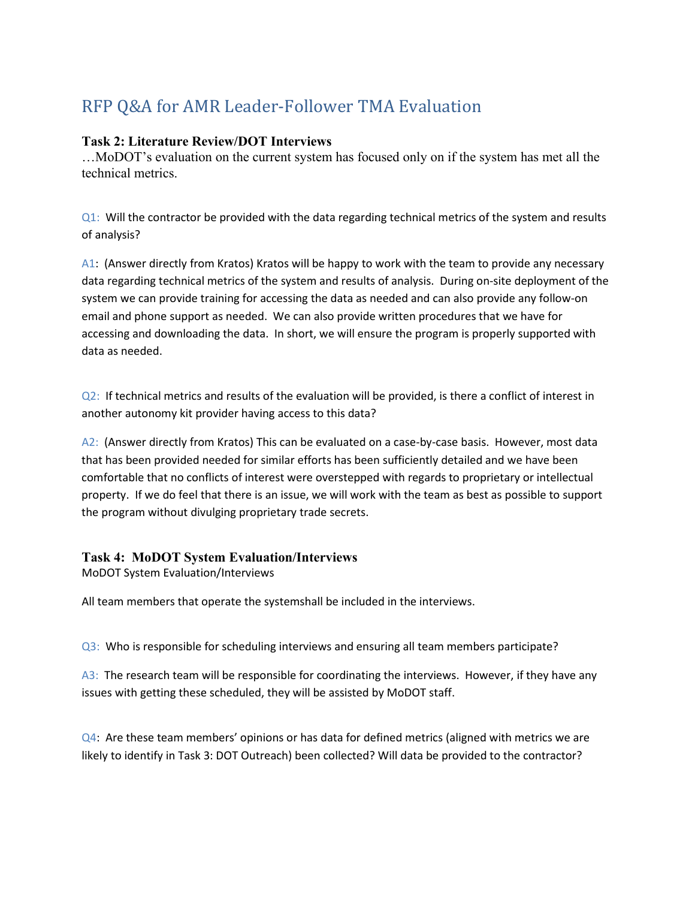# RFP Q&A for AMR Leader-Follower TMA Evaluation

#### **Task 2: Literature Review/DOT Interviews**

…MoDOT's evaluation on the current system has focused only on if the system has met all the technical metrics.

Q1: Will the contractor be provided with the data regarding technical metrics of the system and results of analysis?

A1: (Answer directly from Kratos) Kratos will be happy to work with the team to provide any necessary data regarding technical metrics of the system and results of analysis. During on-site deployment of the system we can provide training for accessing the data as needed and can also provide any follow-on email and phone support as needed. We can also provide written procedures that we have for accessing and downloading the data. In short, we will ensure the program is properly supported with data as needed.

Q2: If technical metrics and results of the evaluation will be provided, is there a conflict of interest in another autonomy kit provider having access to this data?

A2: (Answer directly from Kratos) This can be evaluated on a case-by-case basis. However, most data that has been provided needed for similar efforts has been sufficiently detailed and we have been comfortable that no conflicts of interest were overstepped with regards to proprietary or intellectual property. If we do feel that there is an issue, we will work with the team as best as possible to support the program without divulging proprietary trade secrets.

#### **Task 4: MoDOT System Evaluation/Interviews**

MoDOT System Evaluation/Interviews

All team members that operate the systemshall be included in the interviews.

Q3: Who is responsible for scheduling interviews and ensuring all team members participate?

A3: The research team will be responsible for coordinating the interviews. However, if they have any issues with getting these scheduled, they will be assisted by MoDOT staff.

 $Q4$ : Are these team members' opinions or has data for defined metrics (aligned with metrics we are likely to identify in Task 3: DOT Outreach) been collected? Will data be provided to the contractor?